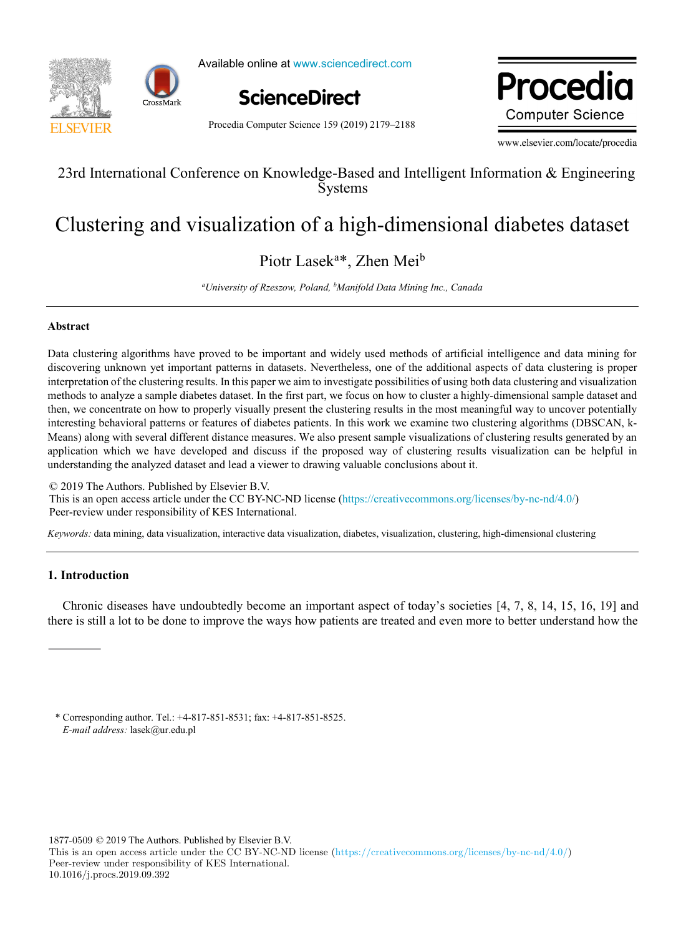



Available online at www.sciencedirect.com



Procedia Computer Science 159 (2019) 2179–2188

where  $\mathbf{r}$ ww.edio **Computer Science** 

23rd International Conference on Knowledge-Based and Intelligent Information & Engineering

# 23rd International Conference on Knowledge-Based and Intelligent Information & Engineering Systems

# Clustering and visualization of a high-dimensional diabetes dataset  $\sim$ Clustering and visualization of a high-dimensional diabetes dataset

Piotr Lasek<sup>a\*</sup>, Zhen Mei<sup>b</sup>

*a University of Rzeszow, Poland, <sup>b</sup> Manifold Data Mining Inc., Canada*

## **Abstract**  $\mathcal{L}$  algorithms have proved to be important and widely used methods of artificial intelligence and data mining for and data minimal intelligence and data mining for and data mining for and data mining for and data min **Abstract**

Data clustering algorithms have proved to be important and widely used methods of artificial intelligence and data mining for discovering unknown yet important patterns in datasets. Nevertheless, one of the additional aspects of data clustering is proper interpretation of the clustering results. In this paper we aim to investigate possibilities of using both data clustering and visualization methods to analyze a sample diabetes dataset. In the first part, we focus on how to cluster a highly-dimensional sample dataset and then, we concentrate on how to properly visually present the clustering results in the most meaningful way to uncover potentially interesting behavioral patterns or features of diabetes patients. In this work we examine two clustering algorithms (DBSCAN, k-Means) along with several different distance measures. We also present sample visualizations of clustering results generated by an application which we have developed and discuss if the proposed way of clustering results visualization can be helpful in © 2019 The Author(s). Published by Elsevier B.V. understanding the analyzed dataset and lead a viewer to drawing valuable conclusions about it.

© 2019 The Authors. Published by Elsevier B.V. © 2019 The Authors. Published by Elsevier B.V.<br>This is an open access article under the CC BY-NC-ND license (https://creativecommons.org/licenses/by-nc-nd/4.0/) Peer-review under responsibility of KES International.  $\mu$  is an open access afficie under the CC  $\sigma$  i-inc-ind ficense Forty The Authors: Published by Elsevier B.V.<br>is is an open access article under the CC BY-NC-ND lice

*Keywords:* data mining, data visualization, interactive data visualization, diabetes, visualization, clustering, high-dimensional clustering *Keywords:* data mining, data visualization, interactive data visualization, diabetes, visualization, clustering, high-dimensional clustering

## **1. Introduction**

Chronic diseases have undoubtedly become an important aspect of today's societies [4, 7, 8, 14, 15, 16, 19] and there is still a lot to be done to improve the ways how patients are treated and even more to better understand how the

\* Corresponding author. Tel.: +4-817-851-8531; fax: +4-817-851-8525. *E-mail address:* lasek@ur.edu.pl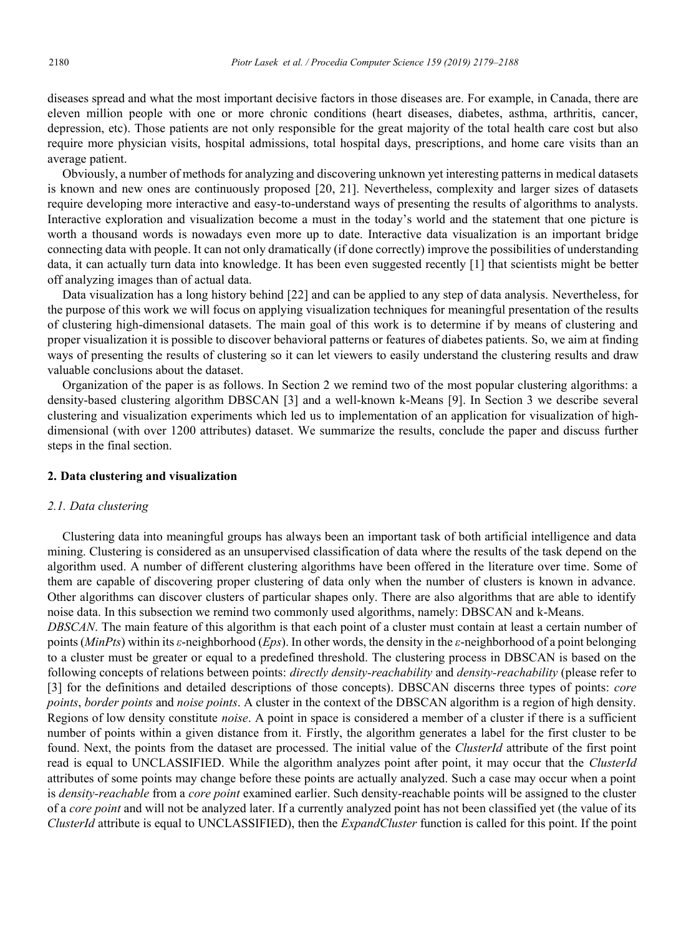diseases spread and what the most important decisive factors in those diseases are. For example, in Canada, there are eleven million people with one or more chronic conditions (heart diseases, diabetes, asthma, arthritis, cancer, depression, etc). Those patients are not only responsible for the great majority of the total health care cost but also require more physician visits, hospital admissions, total hospital days, prescriptions, and home care visits than an average patient.

Obviously, a number of methods for analyzing and discovering unknown yet interesting patterns in medical datasets is known and new ones are continuously proposed [20, 21]. Nevertheless, complexity and larger sizes of datasets require developing more interactive and easy-to-understand ways of presenting the results of algorithms to analysts. Interactive exploration and visualization become a must in the today's world and the statement that one picture is worth a thousand words is nowadays even more up to date. Interactive data visualization is an important bridge connecting data with people. It can not only dramatically (if done correctly) improve the possibilities of understanding data, it can actually turn data into knowledge. It has been even suggested recently [1] that scientists might be better off analyzing images than of actual data.

Data visualization has a long history behind [22] and can be applied to any step of data analysis. Nevertheless, for the purpose of this work we will focus on applying visualization techniques for meaningful presentation of the results of clustering high-dimensional datasets. The main goal of this work is to determine if by means of clustering and proper visualization it is possible to discover behavioral patterns or features of diabetes patients. So, we aim at finding ways of presenting the results of clustering so it can let viewers to easily understand the clustering results and draw valuable conclusions about the dataset.

Organization of the paper is as follows. In Section 2 we remind two of the most popular clustering algorithms: a density-based clustering algorithm DBSCAN [3] and a well-known k-Means [9]. In Section 3 we describe several clustering and visualization experiments which led us to implementation of an application for visualization of highdimensional (with over 1200 attributes) dataset. We summarize the results, conclude the paper and discuss further steps in the final section.

## **2. Data clustering and visualization**

#### *2.1. Data clustering*

Clustering data into meaningful groups has always been an important task of both artificial intelligence and data mining. Clustering is considered as an unsupervised classification of data where the results of the task depend on the algorithm used. A number of different clustering algorithms have been offered in the literature over time. Some of them are capable of discovering proper clustering of data only when the number of clusters is known in advance. Other algorithms can discover clusters of particular shapes only. There are also algorithms that are able to identify noise data. In this subsection we remind two commonly used algorithms, namely: DBSCAN and k-Means.

*DBSCAN*. The main feature of this algorithm is that each point of a cluster must contain at least a certain number of points (*MinPts*) within its *ε*-neighborhood (*Eps*). In other words, the density in the *ε*-neighborhood of a point belonging to a cluster must be greater or equal to a predefined threshold. The clustering process in DBSCAN is based on the following concepts of relations between points: *directly density-reachability* and *density-reachability* (please refer to [3] for the definitions and detailed descriptions of those concepts). DBSCAN discerns three types of points: *core points*, *border points* and *noise points*. A cluster in the context of the DBSCAN algorithm is a region of high density. Regions of low density constitute *noise*. A point in space is considered a member of a cluster if there is a sufficient number of points within a given distance from it. Firstly, the algorithm generates a label for the first cluster to be found. Next, the points from the dataset are processed. The initial value of the *ClusterId* attribute of the first point read is equal to UNCLASSIFIED. While the algorithm analyzes point after point, it may occur that the *ClusterId* attributes of some points may change before these points are actually analyzed. Such a case may occur when a point is *density-reachable* from a *core point* examined earlier. Such density-reachable points will be assigned to the cluster of a *core point* and will not be analyzed later. If a currently analyzed point has not been classified yet (the value of its *ClusterId* attribute is equal to UNCLASSIFIED), then the *ExpandCluster* function is called for this point. If the point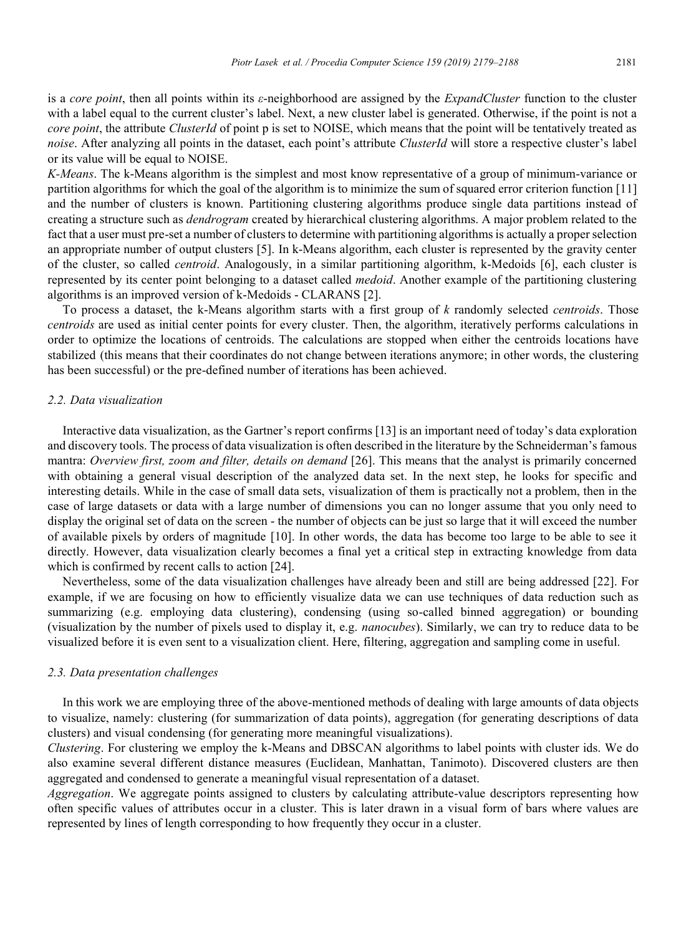is a *core point*, then all points within its *ε*-neighborhood are assigned by the *ExpandCluster* function to the cluster with a label equal to the current cluster's label. Next, a new cluster label is generated. Otherwise, if the point is not a *core point*, the attribute *ClusterId* of point p is set to NOISE, which means that the point will be tentatively treated as *noise*. After analyzing all points in the dataset, each point's attribute *ClusterId* will store a respective cluster's label or its value will be equal to NOISE.

*K-Means*. The k-Means algorithm is the simplest and most know representative of a group of minimum-variance or partition algorithms for which the goal of the algorithm is to minimize the sum of squared error criterion function [11] and the number of clusters is known. Partitioning clustering algorithms produce single data partitions instead of creating a structure such as *dendrogram* created by hierarchical clustering algorithms. A major problem related to the fact that a user must pre-set a number of clusters to determine with partitioning algorithms is actually a proper selection an appropriate number of output clusters [5]. In k-Means algorithm, each cluster is represented by the gravity center of the cluster, so called *centroid*. Analogously, in a similar partitioning algorithm, k-Medoids [6], each cluster is represented by its center point belonging to a dataset called *medoid*. Another example of the partitioning clustering algorithms is an improved version of k-Medoids - CLARANS [2].

To process a dataset, the k-Means algorithm starts with a first group of *k* randomly selected *centroids*. Those *centroids* are used as initial center points for every cluster. Then, the algorithm, iteratively performs calculations in order to optimize the locations of centroids. The calculations are stopped when either the centroids locations have stabilized  (this means that their coordinates do not change between iterations anymore; in other words, the clustering has been successful) or the pre-defined number of iterations has been achieved.

#### *2.2. Data visualization*

Interactive data visualization, as the Gartner's report confirms [13] is an important need of today's data exploration and discovery tools. The process of data visualization is often described in the literature by the Schneiderman's famous mantra: *Overview first, zoom and filter, details on demand* [26]. This means that the analyst is primarily concerned with obtaining a general visual description of the analyzed data set. In the next step, he looks for specific and interesting details. While in the case of small data sets, visualization of them is practically not a problem, then in the case of large datasets or data with a large number of dimensions you can no longer assume that you only need to display the original set of data on the screen - the number of objects can be just so large that it will exceed the number of available pixels by orders of magnitude [10]. In other words, the data has become too large to be able to see it directly. However, data visualization clearly becomes a final yet a critical step in extracting knowledge from data which is confirmed by recent calls to action [24].

Nevertheless, some of the data visualization challenges have already been and still are being addressed [22]. For example, if we are focusing on how to efficiently visualize data we can use techniques of data reduction such as summarizing (e.g. employing data clustering), condensing (using so-called binned aggregation) or bounding (visualization by the number of pixels used to display it, e.g. *nanocubes*). Similarly, we can try to reduce data to be visualized before it is even sent to a visualization client. Here, filtering, aggregation and sampling come in useful.

#### *2.3. Data presentation challenges*

In this work we are employing three of the above-mentioned methods of dealing with large amounts of data objects to visualize, namely: clustering (for summarization of data points), aggregation (for generating descriptions of data clusters) and visual condensing (for generating more meaningful visualizations).

*Clustering*. For clustering we employ the k-Means and DBSCAN algorithms to label points with cluster ids. We do also examine several different distance measures (Euclidean, Manhattan, Tanimoto). Discovered clusters are then aggregated and condensed to generate a meaningful visual representation of a dataset.

*Aggregation*. We aggregate points assigned to clusters by calculating attribute-value descriptors representing how often specific values of attributes occur in a cluster. This is later drawn in a visual form of bars where values are represented by lines of length corresponding to how frequently they occur in a cluster.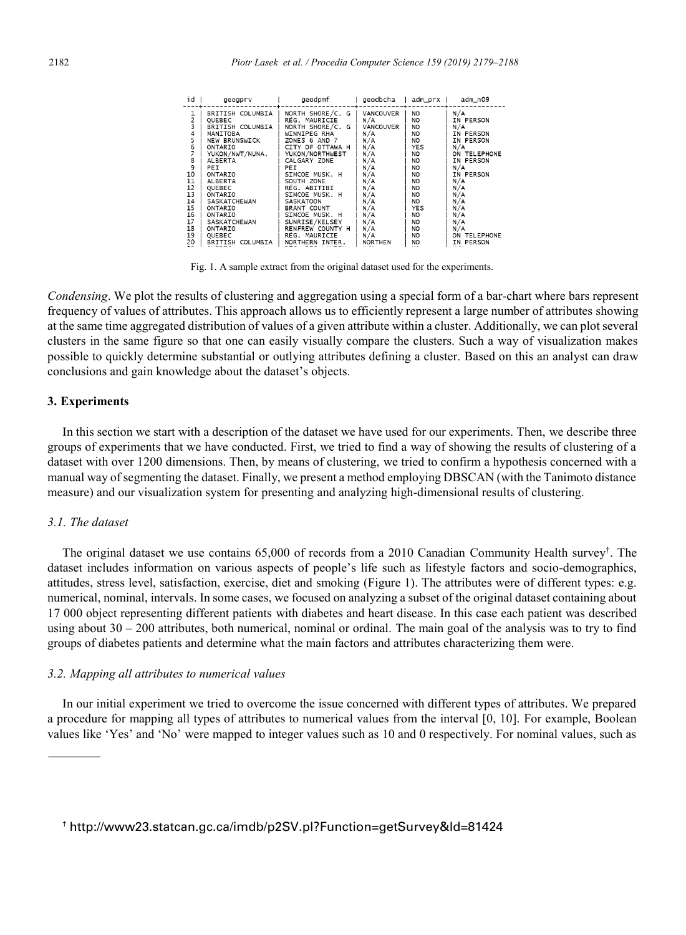| id                                                                                                      | geogprv                                                                                                                                                                                                                                                                                                         | geodpmf                                                                                                                                                                                                                                                                                            | geodbcha                                                                                                                                             | adm_prx                                                                                                                                                                                                                                                                        | adm_nO9                                                                                                                                                                           |
|---------------------------------------------------------------------------------------------------------|-----------------------------------------------------------------------------------------------------------------------------------------------------------------------------------------------------------------------------------------------------------------------------------------------------------------|----------------------------------------------------------------------------------------------------------------------------------------------------------------------------------------------------------------------------------------------------------------------------------------------------|------------------------------------------------------------------------------------------------------------------------------------------------------|--------------------------------------------------------------------------------------------------------------------------------------------------------------------------------------------------------------------------------------------------------------------------------|-----------------------------------------------------------------------------------------------------------------------------------------------------------------------------------|
| 1<br>2<br>3<br>$\frac{4}{5}$<br>6<br>8<br>9<br>10<br>11<br>12<br>13<br>14<br>15<br>16<br>17<br>18<br>19 | BRITISH COLUMBIA<br><b>OUEBEC</b><br>BRITISH COLUMBIA<br>MANITOBA<br>NEW BRUNSWICK   ZONES 6 AND 7<br>ONTARIO<br>YUKON/NWT/NUNA,   YUKON/NORTHWEST<br>ALBERTA<br>PEI<br>ONTARIO<br><b>ALBERTA</b><br><b>QUEBEC</b><br>ONTARIO<br>SASKATCHEWAN<br>ONTARIO<br>ONTARIO<br>SASKATCHEWAN<br>ONTARIO<br><b>OUEBEC</b> | NORTH SHORE/C. G  <br>RÉG. MAURICIE<br>NORTH SHORE/C. G<br>WINNIPEG RHA<br>I CITY OF OTTAWA H<br>CALGARY ZONE<br>PEI<br>SIMCOE MUSK. H<br>SOUTH ZONE<br>RÉG. ABITIBI<br>SIMCOE MUSK. H<br><b>SASKATOON</b><br>BRANT COUNT<br>SIMCOE MUSK. H<br>SUNRISE/KELSEY<br>RENFREW COUNTY H<br>RÉG. MAURICIE | VANCOUVER<br>$\mid N/A$<br>VANCOUVER<br>N/A<br>N/A<br>N/A<br>N/A<br>N/A<br>N/A<br>N/A<br>N/A<br>N/A<br>N/A<br>N/A<br>N/A<br>N/A<br>N/A<br>N/A<br>N/A | NO.<br><b>NO</b><br>N <sub>O</sub><br><b>NO</b><br><b>NO</b><br><b>YES</b><br>NO<br>N <sub>O</sub><br>N <sub>O</sub><br>N <sub>O</sub><br>N <sub>O</sub><br>N <sub>O</sub><br>N <sub>O</sub><br>NO.<br><b>YES</b><br>NO.<br>N <sub>O</sub><br>N <sub>O</sub><br>N <sub>O</sub> | N/A<br>IN PERSON<br>N/A<br>IN PERSON<br>IN PERSON<br>N/A<br>ON TELEPHONE<br>IN PERSON<br>N/A<br>IN PERSON<br>N/A<br>N/A<br>N/A<br>N/A<br>N/A<br>N/A<br>N/A<br>N/A<br>ON TELEPHONE |
| $\frac{20}{1}$                                                                                          | BRITISH COLUMBIA                                                                                                                                                                                                                                                                                                | NORTHERN INTER.                                                                                                                                                                                                                                                                                    | <b>NORTHEN</b>                                                                                                                                       | NO                                                                                                                                                                                                                                                                             | IN PERSON                                                                                                                                                                         |

Fig. 1. A sample extract from the original dataset used for the experiments.

*Condensing*. We plot the results of clustering and aggregation using a special form of a bar-chart where bars represent frequency of values of attributes. This approach allows us to efficiently represent a large number of attributes showing at the same time aggregated distribution of values of a given attribute within a cluster. Additionally, we can plot several clusters in the same figure so that one can easily visually compare the clusters. Such a way of visualization makes possible to quickly determine substantial or outlying attributes defining a cluster. Based on this an analyst can draw conclusions and gain knowledge about the dataset's objects.

## **3. Experiments**

In this section we start with a description of the dataset we have used for our experiments. Then, we describe three groups of experiments that we have conducted. First, we tried to find a way of showing the results of clustering of a dataset with over 1200 dimensions. Then, by means of clustering, we tried to confirm a hypothesis concerned with a manual way of segmenting the dataset. Finally, we present a method employing DBSCAN (with the Tanimoto distance measure) and our visualization system for presenting and analyzing high-dimensional results of clustering.

## *3.1. The dataset*

The original dataset we use contains 65,000 of records from a 2010 Canadian Community Health survey† . The dataset includes information on various aspects of people's life such as lifestyle factors and socio-demographics, attitudes, stress level, satisfaction, exercise, diet and smoking (Figure 1). The attributes were of different types: e.g. numerical, nominal, intervals. In some cases, we focused on analyzing a subset of the original dataset containing about 17 000 object representing different patients with diabetes and heart disease. In this case each patient was described using about  $30 - 200$  attributes, both numerical, nominal or ordinal. The main goal of the analysis was to try to find groups of diabetes patients and determine what the main factors and attributes characterizing them were.

#### *3.2. Mapping all attributes to numerical values*

In our initial experiment we tried to overcome the issue concerned with different types of attributes. We prepared a procedure for mapping all types of attributes to numerical values from the interval [0, 10]. For example, Boolean values like 'Yes' and 'No' were mapped to integer values such as 10 and 0 respectively. For nominal values, such as

<sup>†</sup> http://www23.statcan.gc.ca/imdb/p2SV.pl?Function=getSurvey&Id=81424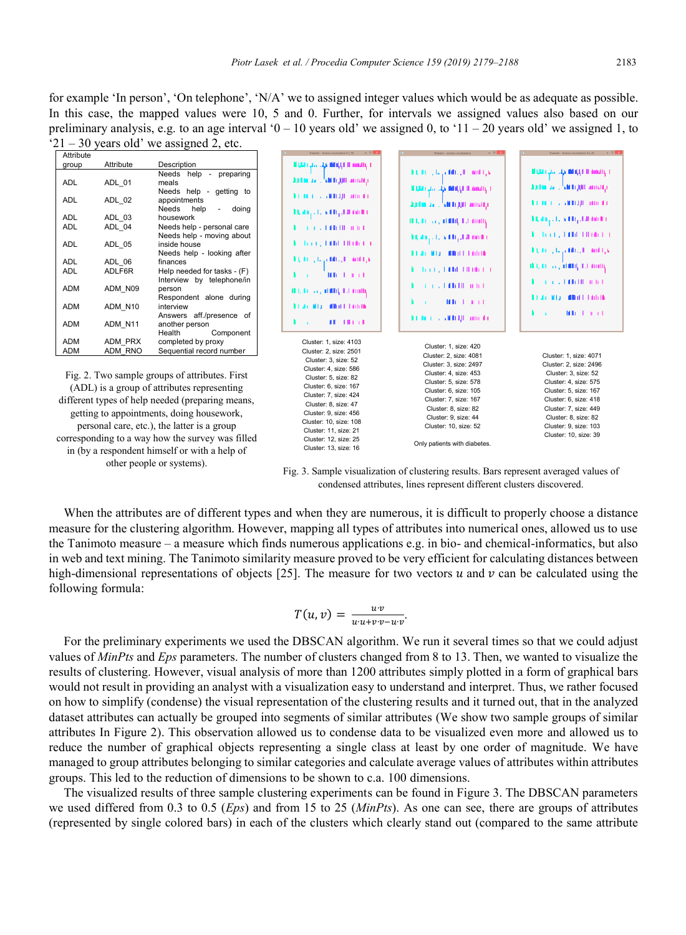for example 'In person', 'On telephone', 'N/A' we to assigned integer values which would be as adequate as possible. In this case, the mapped values were 10, 5 and 0. Further, for intervals we assigned values also based on our preliminary analysis, e.g. to an age interval '0 – 10 years old' we assigned 0, to '11 – 20 years old' we assigned 1, to ' $21 - 30$  years old' we assigned 2, etc.

| Attribute  |           |                                            |
|------------|-----------|--------------------------------------------|
| group      | Attribute | Description                                |
|            |           | Needs help - preparing                     |
| <b>ADL</b> | ADL 01    | meals                                      |
|            |           | Needs help - getting to                    |
| <b>ADL</b> | ADL 02    | appointments                               |
|            |           | Needs help -<br>doing                      |
| ADL        | ADL 03    | housework                                  |
| <b>ADL</b> | ADL 04    | Needs help - personal care                 |
|            |           | Needs help - moving about                  |
| ADL        | ADL 05    | inside house                               |
|            |           | Needs help - looking after                 |
| ADL        | ADL 06    | finances                                   |
| ADL        | ADLF6R    | Help needed for tasks - (F)                |
|            |           | Interview by telephone/in                  |
| <b>ADM</b> | ADM N09   | person                                     |
| <b>ADM</b> |           | Respondent alone during                    |
|            | ADM N10   | interview                                  |
| ADM        | ADM N11   | Answers aff./presence of<br>another person |
|            |           | Health<br>Component                        |
| ADM        | ADM PRX   | completed by proxy                         |
|            |           |                                            |
| <b>ADM</b> | ADM RNO   | Sequential record number                   |

Fig. 2. Two sample groups of attributes. First (ADL) is a group of attributes representing different types of help needed (preparing means, getting to appointments, doing housework, personal care, etc.), the latter is a group corresponding to a way how the survey was filled in (by a respondent himself or with a help of other people or systems).





When the attributes are of different types and when they are numerous, it is difficult to properly choose a distance measure for the clustering algorithm. However, mapping all types of attributes into numerical ones, allowed us to use the Tanimoto measure – a measure which finds numerous applications e.g. in bio- and chemical-informatics, but also in web and text mining. The Tanimoto similarity measure proved to be very efficient for calculating distances between high-dimensional representations of objects [25]. The measure for two vectors  $u$  and  $v$  can be calculated using the following formula:

$$
T(u,v) = \frac{u \cdot v}{u \cdot u + v \cdot v - u \cdot v}.
$$

For the preliminary experiments we used the DBSCAN algorithm. We run it several times so that we could adjust values of *MinPts* and *Eps* parameters. The number of clusters changed from 8 to 13. Then, we wanted to visualize the results of clustering. However, visual analysis of more than 1200 attributes simply plotted in a form of graphical bars would not result in providing an analyst with a visualization easy to understand and interpret. Thus, we rather focused on how to simplify (condense) the visual representation of the clustering results and it turned out, that in the analyzed dataset attributes can actually be grouped into segments of similar attributes (We show two sample groups of similar attributes In Figure 2). This observation allowed us to condense data to be visualized even more and allowed us to reduce the number of graphical objects representing a single class at least by one order of magnitude. We have managed to group attributes belonging to similar categories and calculate average values of attributes within attributes groups. This led to the reduction of dimensions to be shown to c.a. 100 dimensions.

The visualized results of three sample clustering experiments can be found in Figure 3. The DBSCAN parameters we used differed from 0.3 to 0.5 (*Eps*) and from 15 to 25 (*MinPts*). As one can see, there are groups of attributes (represented by single colored bars) in each of the clusters which clearly stand out (compared to the same attribute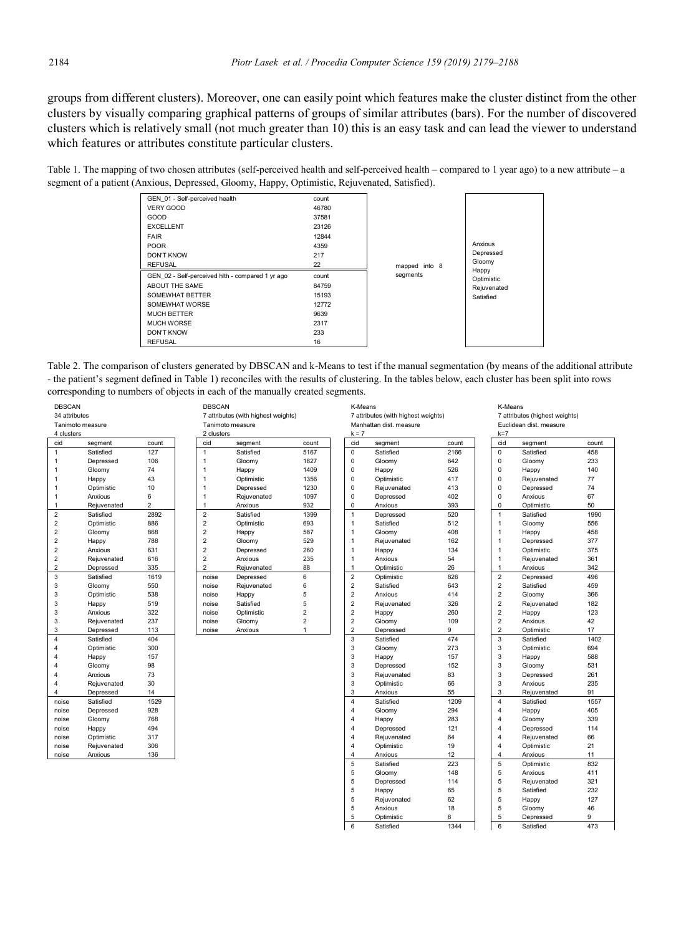groups from different clusters). Moreover, one can easily point which features make the cluster distinct from the other clusters by visually comparing graphical patterns of groups of similar attributes (bars). For the number of discovered clusters which is relatively small (not much greater than 10) this is an easy task and can lead the viewer to understand which features or attributes constitute particular clusters.

Table 1. The mapping of two chosen attributes (self-perceived health and self-perceived health – compared to 1 year ago) to a new attribute – a segment of a patient (Anxious, Depressed, Gloomy, Happy, Optimistic, Rejuvenated, Satisfied).

| GEN 01 - Self-perceived health<br>VERY GOOD<br>GOOD<br><b>FXCELLENT</b><br><b>FAIR</b>                                                                                                    | count<br>46780<br>37581<br>23126<br>12844                     |               |                                                 |
|-------------------------------------------------------------------------------------------------------------------------------------------------------------------------------------------|---------------------------------------------------------------|---------------|-------------------------------------------------|
| <b>POOR</b><br><b>DON'T KNOW</b><br><b>REFUSAL</b>                                                                                                                                        | 4359<br>217<br>22                                             | mapped into 8 | Anxious<br>Depressed<br>Gloomy                  |
| GEN 02 - Self-perceived hlth - compared 1 yr ago<br>ABOUT THE SAME<br>SOMEWHAT BETTER<br>SOMEWHAT WORSE<br><b>MUCH BETTER</b><br><b>MUCH WORSE</b><br><b>DON'T KNOW</b><br><b>REFUSAL</b> | count<br>84759<br>15193<br>12772<br>9639<br>2317<br>233<br>16 | segments      | Happy<br>Optimistic<br>Rejuvenated<br>Satisfied |

Table 2. The comparison of clusters generated by DBSCAN and k-Means to test if the manual segmentation (by means of the additional attribute - the patient's segment defined in Table 1) reconciles with the results of clustering. In the tables below, each cluster has been split into rows corresponding to numbers of objects in each of the manually created segments.

|                         | <b>DBSCAN</b><br><b>DBSCAN</b> |                |                         |                                     | K-Means<br>K-Means |                |                                     |       |                |                                |       |
|-------------------------|--------------------------------|----------------|-------------------------|-------------------------------------|--------------------|----------------|-------------------------------------|-------|----------------|--------------------------------|-------|
| 34 attributes           |                                |                |                         | 7 attributes (with highest weights) |                    |                | 7 attributes (with highest weights) |       |                | 7 attributes (highest weights) |       |
|                         | Tanimoto measure               |                |                         | Tanimoto measure                    |                    |                | Manhattan dist, measure             |       |                | Euclidean dist, measure        |       |
| 4 clusters              |                                |                | 2 clusters              |                                     |                    | $k = 7$        |                                     |       | $k = 7$        |                                |       |
| cid                     | segment                        | count          | cid                     | segment                             | count              | cid            | segment                             | count | cid            | segment                        | count |
| 1                       | Satisfied                      | 127            | 1                       | Satisfied                           | 5167               | $\Omega$       | Satisfied                           | 2166  | 0              | Satisfied                      | 458   |
| 1                       | Depressed                      | 106            | 1                       | Gloomv                              | 1827               | 0              | Gloomv                              | 642   | 0              | Gloomv                         | 233   |
| 1                       | Gloomy                         | 74             | 1                       | Happy                               | 1409               | $\mathbf 0$    | Happy                               | 526   | $\mathbf 0$    | Happy                          | 140   |
| $\mathbf{1}$            | Happy                          | 43             | 1                       | Optimistic                          | 1356               | $\mathbf 0$    | Optimistic                          | 417   | 0              | Reiuvenated                    | 77    |
| 1                       | Optimistic                     | 10             | 1                       | Depressed                           | 1230               | $\mathbf 0$    | Rejuvenated                         | 413   | 0              | Depressed                      | 74    |
| 1                       | Anxious                        | 6              | 1                       | Rejuvenated                         | 1097               | $\mathbf 0$    | Depressed                           | 402   | 0              | Anxious                        | 67    |
| 1                       | Rejuvenated                    | $\overline{2}$ | 1                       | Anxious                             | 932                | $\Omega$       | Anxious                             | 393   | $\Omega$       | Optimistic                     | 50    |
| $\overline{2}$          | Satisfied                      | 2892           | $\overline{2}$          | Satisfied                           | 1399               | $\mathbf{1}$   | Depressed                           | 520   | $\mathbf{1}$   | Satisfied                      | 1990  |
| $\overline{\mathbf{c}}$ | Optimistic                     | 886            | $\overline{\mathbf{c}}$ | Optimistic                          | 693                | $\mathbf{1}$   | Satisfied                           | 512   | $\mathbf{1}$   | Gloomy                         | 556   |
| $\overline{\mathbf{c}}$ | Gloomy                         | 868            | $\overline{2}$          | Happy                               | 587                | $\mathbf{1}$   | Gloomy                              | 408   | $\mathbf{1}$   | Happy                          | 458   |
| $\overline{2}$          | Happy                          | 788            | $\overline{2}$          | Gloomv                              | 529                | $\mathbf{1}$   | Reiuvenated                         | 162   | $\mathbf{1}$   | Depressed                      | 377   |
| $\overline{\mathbf{c}}$ | Anxious                        | 631            | $\overline{\mathbf{c}}$ | Depressed                           | 260                | $\mathbf{1}$   | Happy                               | 134   | $\mathbf{1}$   | Optimistic                     | 375   |
| $\overline{\mathbf{c}}$ | Rejuvenated                    | 616            | $\overline{\mathbf{c}}$ | Anxious                             | 235                | $\mathbf{1}$   | Anxious                             | 54    | $\mathbf{1}$   | Rejuvenated                    | 361   |
| $\overline{2}$          | Depressed                      | 335            | $\overline{2}$          | Reiuvenated                         | 88                 | $\mathbf{1}$   | Optimistic                          | 26    | $\mathbf{1}$   | Anxious                        | 342   |
| 3                       | Satisfied                      | 1619           | noise                   | Depressed                           | 6                  | $\overline{2}$ | Optimistic                          | 826   | $\overline{2}$ | Depressed                      | 496   |
| 3                       | Gloomy                         | 550            | noise                   | Rejuvenated                         | 6                  | $\overline{2}$ | Satisfied                           | 643   | $\overline{2}$ | Satisfied                      | 459   |
| 3                       | Optimistic                     | 538            | noise                   | Happy                               | 5                  | $\overline{2}$ | Anxious                             | 414   | $\overline{2}$ | Gloomv                         | 366   |
| 3                       | Happy                          | 519            | noise                   | Satisfied                           | 5                  | $\overline{2}$ | Rejuvenated                         | 326   | $\overline{c}$ | Rejuvenated                    | 182   |
| 3                       | Anxious                        | 322            | noise                   | Optimistic                          | $\overline{2}$     | $\overline{2}$ | Happy                               | 260   | $\overline{2}$ | Happy                          | 123   |
| 3                       | Rejuvenated                    | 237            | noise                   | Gloomy                              | $\overline{2}$     | $\overline{2}$ | Gloomy                              | 109   | $\overline{2}$ | Anxious                        | 42    |
| 3                       | Depressed                      | 113            | noise                   | Anxious                             | 1                  | $\overline{2}$ | Depressed                           | 9     | $\overline{2}$ | Optimistic                     | 17    |
| $\overline{4}$          | Satisfied                      | 404            |                         |                                     |                    | $\overline{3}$ | Satisfied                           | 474   | 3              | Satisfied                      | 1402  |
| $\overline{4}$          | Optimistic                     | 300            |                         |                                     |                    | 3              | Gloomy                              | 273   | 3              | Optimistic                     | 694   |
| 4                       | Happy                          | 157            |                         |                                     |                    | 3              | Happy                               | 157   | 3              | Happy                          | 588   |
| 4                       | Gloomy                         | 98             |                         |                                     |                    | 3              | Depressed                           | 152   | 3              | Gloomy                         | 531   |
| $\overline{4}$          | Anxious                        | 73             |                         |                                     |                    | 3              | Rejuvenated                         | 83    | 3              | Depressed                      | 261   |
| 4                       | Rejuvenated                    | 30             |                         |                                     |                    | 3              | Optimistic                          | 66    | 3              | Anxious                        | 235   |
| $\overline{4}$          | Depressed                      | 14             |                         |                                     |                    | 3              | Anxious                             | 55    | 3              | Rejuvenated                    | 91    |
| noise                   | Satisfied                      | 1529           |                         |                                     |                    | $\overline{4}$ | Satisfied                           | 1209  | $\overline{4}$ | Satisfied                      | 1557  |
| noise                   | Depressed                      | 928            |                         |                                     |                    | $\overline{4}$ | Gloomy                              | 294   | 4              | Happy                          | 405   |
| noise                   | Gloomy                         | 768            |                         |                                     |                    | $\overline{4}$ | Happy                               | 283   | $\overline{4}$ | Gloomy                         | 339   |
| noise                   | Happy                          | 494            |                         |                                     |                    | $\overline{4}$ | Depressed                           | 121   | $\overline{4}$ | Depressed                      | 114   |
| noise                   | Optimistic                     | 317            |                         |                                     |                    | $\overline{a}$ | Rejuvenated                         | 64    | $\overline{4}$ | Rejuvenated                    | 66    |
| noise                   | Rejuvenated                    | 306            |                         |                                     |                    | $\overline{4}$ | Optimistic                          | 19    | $\overline{4}$ | Optimistic                     | 21    |
| noise                   | Anxious                        | 136            |                         |                                     |                    | $\overline{4}$ | Anxious                             | 12    | 4              | Anxious                        | 11    |
|                         |                                |                |                         |                                     |                    | 5              | Satisfied                           | 223   | 5              | Optimistic                     | 832   |
|                         |                                |                |                         |                                     |                    | 5              | Gloomy                              | 148   | 5              | Anxious                        | 411   |
|                         |                                |                |                         |                                     |                    | 5              | Depressed                           | 114   | 5              | Rejuvenated                    | 321   |
|                         |                                |                |                         |                                     |                    | 5              | Happy                               | 65    | 5              | Satisfied                      | 232   |

5 Rejuvenated 62 62 5 Happy 127<br>5 Anxious 18 5 Gloomy 46 5 Anxious 18 5 Gloomy 46 Optimistic 8 5 Depressed 9<br>Satisfied 1344 6 Satisfied 473 6 Satisfied 1344 6 Satisfied 473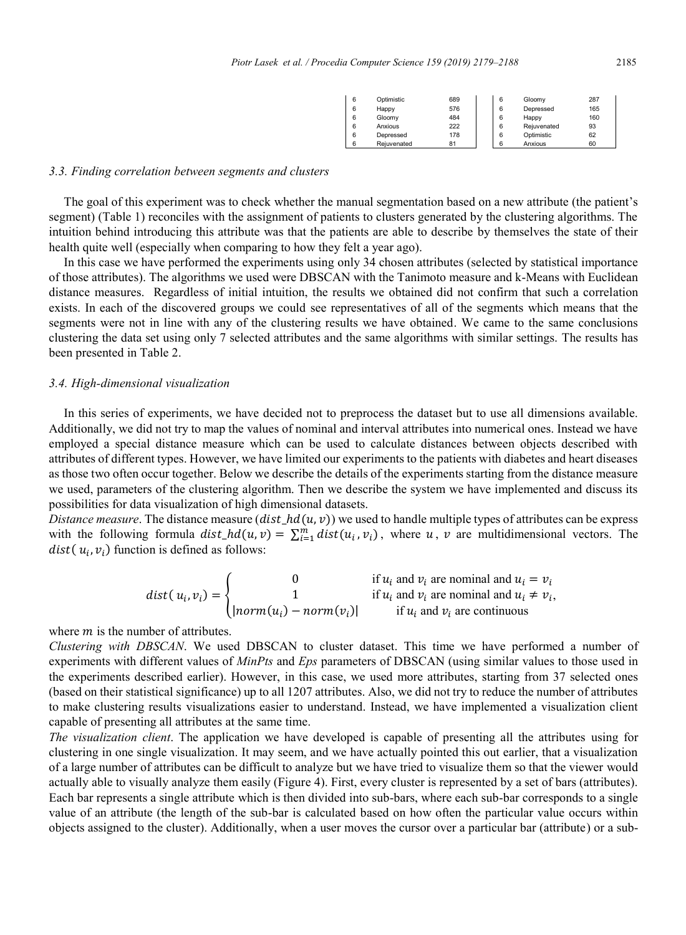| 6 | Optimistic  | 689 | 6 | Gloomy      | 287 |
|---|-------------|-----|---|-------------|-----|
| 6 | Happy       | 576 | 6 | Depressed   | 165 |
| 6 | Gloomy      | 484 | 6 | Happy       | 160 |
| 6 | Anxious     | 222 | 6 | Rejuvenated | 93  |
| 6 | Depressed   | 178 | 6 | Optimistic  | 62  |
|   | Reiuvenated | 81  | 6 | Anxious     | 60  |

#### *3.3. Finding correlation between segments and clusters*

The goal of this experiment was to check whether the manual segmentation based on a new attribute (the patient's segment) (Table 1) reconciles with the assignment of patients to clusters generated by the clustering algorithms. The intuition behind introducing this attribute was that the patients are able to describe by themselves the state of their health quite well (especially when comparing to how they felt a year ago).

In this case we have performed the experiments using only 34 chosen attributes (selected by statistical importance of those attributes). The algorithms we used were DBSCAN with the Tanimoto measure and k-Means with Euclidean distance measures. Regardless of initial intuition, the results we obtained did not confirm that such a correlation exists. In each of the discovered groups we could see representatives of all of the segments which means that the segments were not in line with any of the clustering results we have obtained. We came to the same conclusions clustering the data set using only 7 selected attributes and the same algorithms with similar settings. The results has been presented in Table 2.

#### *3.4. High-dimensional visualization*

In this series of experiments, we have decided not to preprocess the dataset but to use all dimensions available. Additionally, we did not try to map the values of nominal and interval attributes into numerical ones. Instead we have employed a special distance measure which can be used to calculate distances between objects described with attributes of different types. However, we have limited our experiments to the patients with diabetes and heart diseases as those two often occur together. Below we describe the details of the experiments starting from the distance measure we used, parameters of the clustering algorithm. Then we describe the system we have implemented and discuss its possibilities for data visualization of high dimensional datasets.

*Distance measure*. The distance measure  $(dist\_hd(u, v))$  we used to handle multiple types of attributes can be express with the following formula  $dist\_hd(u, v) = \sum_{i=1}^{m} dist(u_i, v_i)$ , where  $u, v$  are multidimensional vectors. The dist( $u_i, v_i$ ) function is defined as follows:

$$
dist(u_i, v_i) = \begin{cases} 0 & \text{if } u_i \text{ and } v_i \text{ are nominal and } u_i = v_i \\ 1 & \text{if } u_i \text{ and } v_i \text{ are nominal and } u_i \neq v_i, \\ |norm(u_i) - norm(v_i)| & \text{if } u_i \text{ and } v_i \text{ are continuous} \end{cases}
$$

where  $m$  is the number of attributes.

*Clustering with DBSCAN*. We used DBSCAN to cluster dataset. This time we have performed a number of experiments with different values of *MinPts* and *Eps* parameters of DBSCAN (using similar values to those used in the experiments described earlier). However, in this case, we used more attributes, starting from 37 selected ones (based on their statistical significance) up to all 1207 attributes. Also, we did not try to reduce the number of attributes to make clustering results visualizations easier to understand. Instead, we have implemented a visualization client capable of presenting all attributes at the same time.

*The visualization client*. The application we have developed is capable of presenting all the attributes using for clustering in one single visualization. It may seem, and we have actually pointed this out earlier, that a visualization of a large number of attributes can be difficult to analyze but we have tried to visualize them so that the viewer would actually able to visually analyze them easily (Figure 4). First, every cluster is represented by a set of bars (attributes). Each bar represents a single attribute which is then divided into sub-bars, where each sub-bar corresponds to a single value of an attribute (the length of the sub-bar is calculated based on how often the particular value occurs within objects assigned to the cluster). Additionally, when a user moves the cursor over a particular bar (attribute) or a sub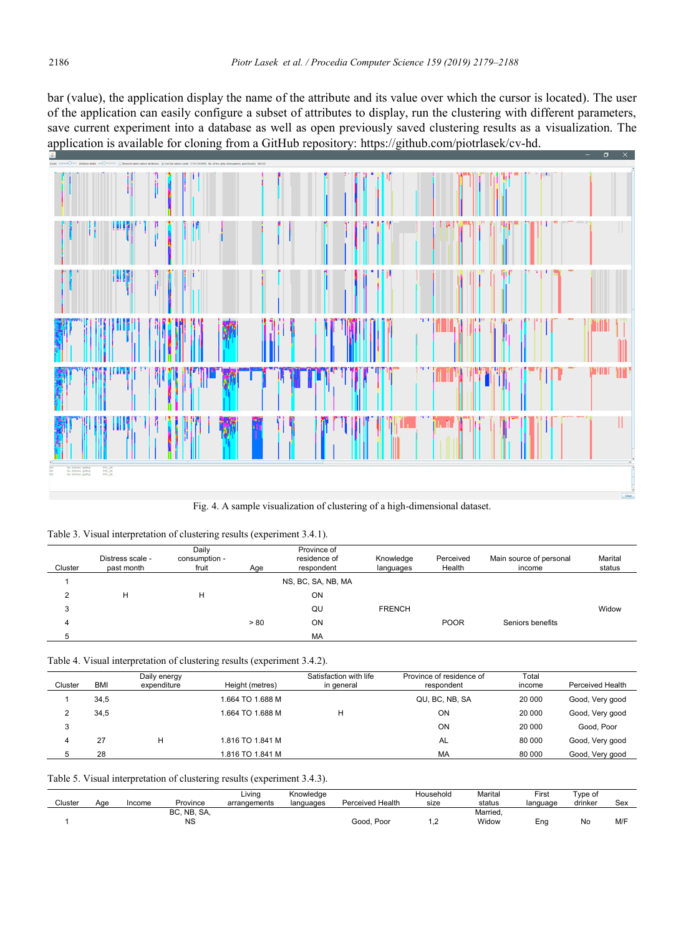bar (value), the application display the name of the attribute and its value over which the cursor is located). The user of the application can easily configure a subset of attributes to display, run the clustering with different parameters, save current experiment into a database as well as open previously saved clustering results as a visualization. The application is available for cloning from a GitHub repository: https://github.com/piotrlasek/cv-hd.



Fig. 4. A sample visualization of clustering of a high-dimensional dataset.

|  | Table 3. Visual interpretation of clustering results (experiment 3.4.1). |  |  |  |  |
|--|--------------------------------------------------------------------------|--|--|--|--|
|--|--------------------------------------------------------------------------|--|--|--|--|

| Cluster | Distress scale -<br>past month | Daily<br>consumption -<br>fruit | Age  | Province of<br>residence of<br>respondent | Knowledge<br>languages | Perceived<br>Health | Main source of personal<br>income | Marital<br>status |
|---------|--------------------------------|---------------------------------|------|-------------------------------------------|------------------------|---------------------|-----------------------------------|-------------------|
|         |                                |                                 |      | NS, BC, SA, NB, MA                        |                        |                     |                                   |                   |
| 2       | н                              | Н                               |      | ON                                        |                        |                     |                                   |                   |
| 3       |                                |                                 |      | QU                                        | <b>FRENCH</b>          |                     |                                   | Widow             |
| 4       |                                |                                 | > 80 | ON                                        |                        | <b>POOR</b>         | Seniors benefits                  |                   |
| 5       |                                |                                 |      | MA                                        |                        |                     |                                   |                   |

| Table 4. Visual interpretation of clustering results (experiment 3.4.2). |  |  |  |  |  |
|--------------------------------------------------------------------------|--|--|--|--|--|
|--------------------------------------------------------------------------|--|--|--|--|--|

| Cluster | BMI  | Daily energy<br>expenditure | Height (metres)  | Satisfaction with life<br>in general | Province of residence of<br>respondent | Total<br>income | Perceived Health |
|---------|------|-----------------------------|------------------|--------------------------------------|----------------------------------------|-----------------|------------------|
|         | 34,5 |                             | 1.664 TO 1.688 M |                                      | QU, BC, NB, SA                         | 20 000          | Good, Very good  |
|         | 34,5 |                             | L664 TO 1.688 M  | н                                    | ON                                     | 20 000          | Good, Very good  |
| 3       |      |                             |                  |                                      | ON                                     | 20 000          | Good, Poor       |
| 4       | 27   | Н                           | 1.816 TO 1.841 M |                                      | AL                                     | 80 000          | Good, Very good  |
| 5       | 28   |                             | 1.816 TO 1.841 M |                                      | MA                                     | 80 000          | Good, Very good  |

Table 5. Visual interpretation of clustering results (experiment 3.4.3).

| Cluster | Aae | Income | Province    | Livina<br>arrangements | Knowledge<br>languages | Perceived Health | Household<br>size        | Marital<br>status | First<br>language | Type of<br>drinker | Sex |
|---------|-----|--------|-------------|------------------------|------------------------|------------------|--------------------------|-------------------|-------------------|--------------------|-----|
|         |     |        | BC. NB. SA. |                        |                        |                  |                          | Married.          |                   |                    |     |
|         |     |        | NS          |                        |                        | Good. Poor       | $\overline{\phantom{a}}$ | Widow             | Enc               | No                 | M/F |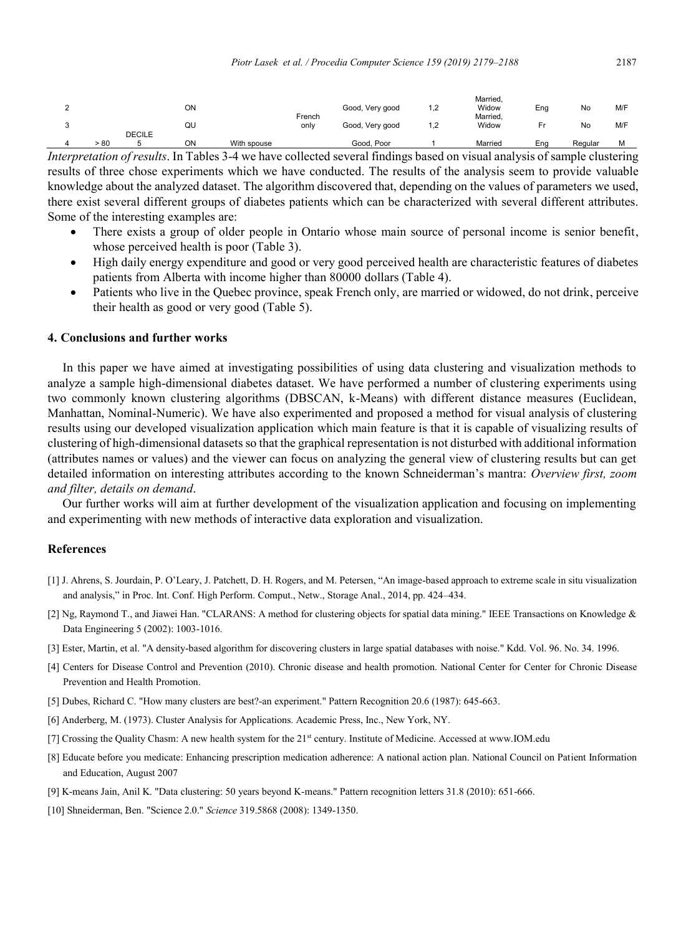|      |               |    |             |        |                 |            | Married, |     |         |     |
|------|---------------|----|-------------|--------|-----------------|------------|----------|-----|---------|-----|
|      |               | ON |             |        | Good, Very good | $\cdot$ .2 | Widow    | Ena | No      | M/F |
|      |               |    |             | French |                 |            | Married, |     |         |     |
|      |               | QU |             | only   | Good, Very good | ,2         | Widow    |     | No      | M/F |
|      | <b>DECILE</b> |    |             |        |                 |            |          |     |         |     |
| 80 - |               | ΟN | With spouse |        | Good, Poor      |            | Married  | Ena | Regular | м   |

*Interpretation of results*. In Tables 3-4 we have collected several findings based on visual analysis of sample clustering results of three chose experiments which we have conducted. The results of the analysis seem to provide valuable knowledge about the analyzed dataset. The algorithm discovered that, depending on the values of parameters we used, there exist several different groups of diabetes patients which can be characterized with several different attributes. Some of the interesting examples are:

- There exists a group of older people in Ontario whose main source of personal income is senior benefit, whose perceived health is poor (Table 3).
- High daily energy expenditure and good or very good perceived health are characteristic features of diabetes patients from Alberta with income higher than 80000 dollars (Table 4).
- Patients who live in the Quebec province, speak French only, are married or widowed, do not drink, perceive their health as good or very good (Table 5).

## **4. Conclusions and further works**

In this paper we have aimed at investigating possibilities of using data clustering and visualization methods to analyze a sample high-dimensional diabetes dataset. We have performed a number of clustering experiments using two commonly known clustering algorithms (DBSCAN, k-Means) with different distance measures (Euclidean, Manhattan, Nominal-Numeric). We have also experimented and proposed a method for visual analysis of clustering results using our developed visualization application which main feature is that it is capable of visualizing results of clustering of high-dimensional datasetsso that the graphical representation is not disturbed with additional information (attributes names or values) and the viewer can focus on analyzing the general view of clustering results but can get detailed information on interesting attributes according to the known Schneiderman's mantra: *Overview first, zoom and filter, details on demand*.

Our further works will aim at further development of the visualization application and focusing on implementing and experimenting with new methods of interactive data exploration and visualization.

### **References**

- [1] J. Ahrens, S. Jourdain, P. O'Leary, J. Patchett, D. H. Rogers, and M. Petersen, "An image-based approach to extreme scale in situ visualization and analysis," in Proc. Int. Conf. High Perform. Comput., Netw., Storage Anal., 2014, pp. 424–434.
- [2] Ng, Raymond T., and Jiawei Han. "CLARANS: A method for clustering objects for spatial data mining." IEEE Transactions on Knowledge & Data Engineering 5 (2002): 1003-1016.
- [3] Ester, Martin, et al. "A density-based algorithm for discovering clusters in large spatial databases with noise." Kdd. Vol. 96. No. 34. 1996.
- [4] Centers for Disease Control and Prevention (2010). Chronic disease and health promotion. National Center for Center for Chronic Disease Prevention and Health Promotion.
- [5] Dubes, Richard C. "How many clusters are best?-an experiment." Pattern Recognition 20.6 (1987): 645-663.
- [6] Anderberg, M. (1973). Cluster Analysis for Applications. Academic Press, Inc., New York, NY.
- [7] Crossing the Quality Chasm: A new health system for the 21<sup>st</sup> century. Institute of Medicine. Accessed at www.IOM.edu
- [8] Educate before you medicate: Enhancing prescription medication adherence: A national action plan. National Council on Patient Information and Education, August 2007
- [9] K-means Jain, Anil K. "Data clustering: 50 years beyond K-means." Pattern recognition letters 31.8 (2010): 651-666.
- [10] Shneiderman, Ben. "Science 2.0." *Science* 319.5868 (2008): 1349-1350.